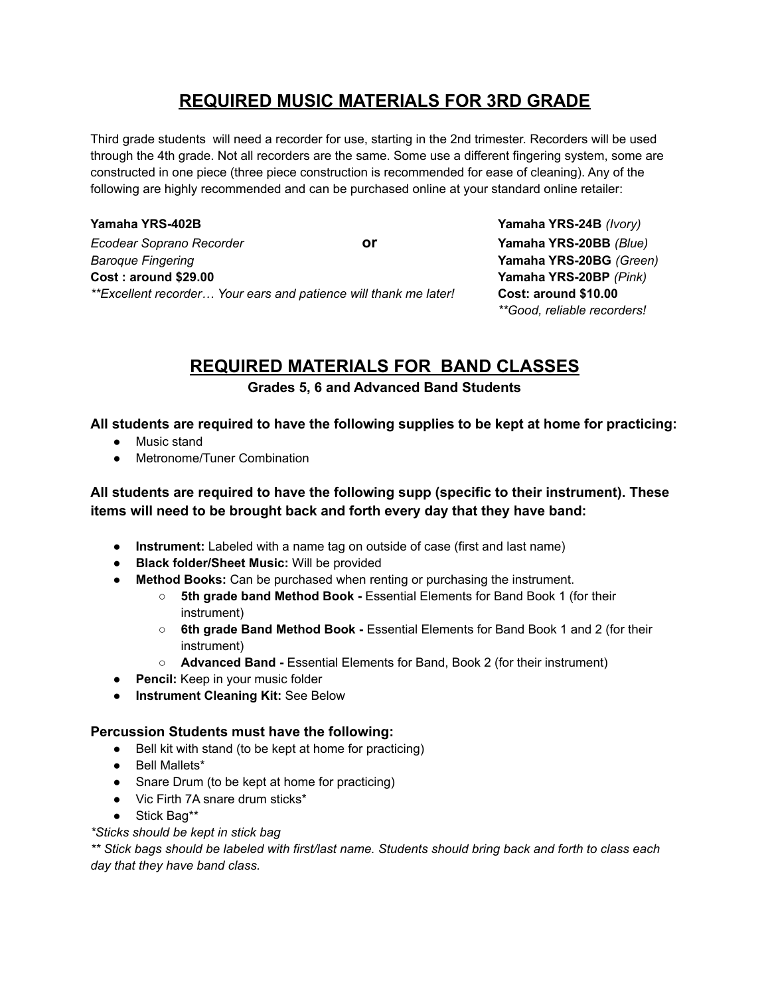## **REQUIRED MUSIC MATERIALS FOR 3RD GRADE**

Third grade students will need a recorder for use, starting in the 2nd trimester. Recorders will be used through the 4th grade. Not all recorders are the same. Some use a different fingering system, some are constructed in one piece (three piece construction is recommended for ease of cleaning). Any of the following are highly recommended and can be purchased online at your standard online retailer:

**Yamaha YRS-402B Yamaha YRS-24B** *(Ivory) Ecodear Soprano Recorder* **or Yamaha YRS-20BB** *(Blue) Baroque Fingering* **Yamaha YRS-20BG** *(Green)* **Cost : around \$29.00 Yamaha YRS-20BP** *(Pink) \*\*Excellent recorder… Your ears and patience will thank me later!* **Cost: around \$10.00**

*\*\*Good, reliable recorders!*

# **REQUIRED MATERIALS FOR BAND CLASSES**

**Grades 5, 6 and Advanced Band Students**

#### **All students are required to have the following supplies to be kept at home for practicing:**

- Music stand
- Metronome/Tuner Combination

### **All students are required to have the following supp (specific to their instrument). These items will need to be brought back and forth every day that they have band:**

- **Instrument:** Labeled with a name tag on outside of case (first and last name)
- **Black folder/Sheet Music:** Will be provided
- **Method Books:** Can be purchased when renting or purchasing the instrument.
	- **5th grade band Method Book -** Essential Elements for Band Book 1 (for their instrument)
	- **6th grade Band Method Book -** Essential Elements for Band Book 1 and 2 (for their instrument)
	- **Advanced Band -** Essential Elements for Band, Book 2 (for their instrument)
- **Pencil:** Keep in your music folder
- **Instrument Cleaning Kit:** See Below

#### **Percussion Students must have the following:**

- Bell kit with stand (to be kept at home for practicing)
- Bell Mallets\*
- Snare Drum (to be kept at home for practicing)
- Vic Firth 7A snare drum sticks<sup>\*</sup>
- Stick Bag\*\*

#### *\*Sticks should be kept in stick bag*

\*\* Stick bags should be labeled with first/last name. Students should bring back and forth to class each *day that they have band class.*